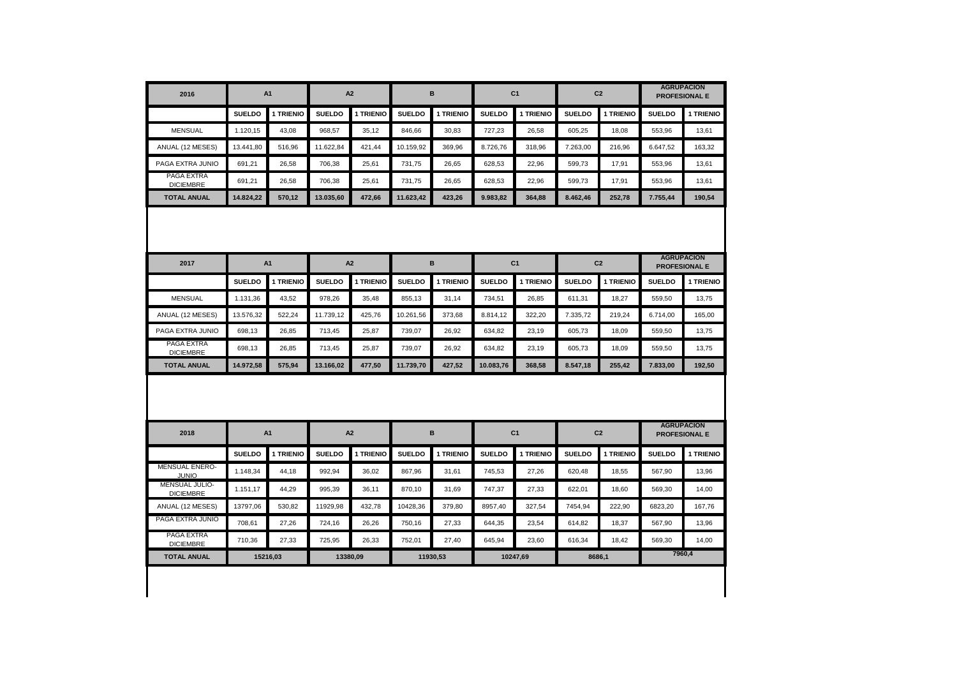| 2016                                   | A1               |           | A <sub>2</sub> |                | в             |           | C <sub>1</sub> |                | C <sub>2</sub> |                | <b>AGRUPACION</b><br><b>PROFESIONAL E</b> |                                                     |
|----------------------------------------|------------------|-----------|----------------|----------------|---------------|-----------|----------------|----------------|----------------|----------------|-------------------------------------------|-----------------------------------------------------|
|                                        | <b>SUELDO</b>    | 1 TRIENIO | <b>SUELDO</b>  | 1 TRIENIO      | <b>SUELDO</b> | 1 TRIENIO | <b>SUELDO</b>  | 1 TRIENIO      | <b>SUELDO</b>  | 1 TRIENIO      | <b>SUELDO</b>                             | 1 TRIENIO                                           |
| <b>MENSUAL</b>                         | 1.120,15         | 43,08     | 968,57         | 35,12          | 846,66        | 30,83     | 727,23         | 26,58          | 605,25         | 18,08          | 553,96                                    | 13,61                                               |
| ANUAL (12 MESES)                       | 13.441.80        | 516.96    | 11.622.84      | 421.44         | 10.159.92     | 369.96    | 8.726.76       | 318.96         | 7.263.00       | 216.96         | 6.647.52                                  | 163.32                                              |
| PAGA EXTRA JUNIO                       | 691,21           | 26,58     | 706,38         | 25,61          | 731,75        | 26,65     | 628,53         | 22,96          | 599,73         | 17,91          | 553,96                                    | 13,61                                               |
| PAGA EXTRA<br><b>DICIEMBRE</b>         | 691.21           | 26.58     | 706,38         | 25.61          | 731,75        | 26.65     | 628,53         | 22.96          | 599.73         | 17,91          | 553,96                                    | 13.61                                               |
| <b>TOTAL ANUAL</b>                     | 14.824.22        | 570.12    | 13.035.60      | 472.66         | 11.623.42     | 423.26    | 9.983.82       | 364.88         | 8.462.46       | 252.78         | 7.755.44                                  | 190.54                                              |
| 2017                                   | A1               |           | A <sub>2</sub> |                | в             |           | C <sub>1</sub> |                | C <sub>2</sub> |                | <b>AGRUPACION</b>                         |                                                     |
|                                        | <b>SUELDO</b>    | 1 TRIENIO | <b>SUELDO</b>  | 1 TRIENIO      | <b>SUELDO</b> | 1 TRIENIO | <b>SUELDO</b>  | 1 TRIENIO      | <b>SUELDO</b>  | 1 TRIENIO      | <b>SUELDO</b>                             | <b>PROFESIONAL E</b><br>1 TRIENIO                   |
| <b>MENSUAL</b>                         | 1.131,36         | 43,52     | 978,26         | 35,48          | 855,13        | 31,14     | 734,51         | 26,85          | 611,31         | 18,27          | 559,50                                    | 13,75                                               |
| ANUAL (12 MESES)                       | 13.576,32        | 522.24    | 11.739,12      | 425.76         | 10.261,56     | 373.68    | 8.814,12       | 322.20         | 7.335,72       | 219.24         | 6.714,00                                  | 165.00                                              |
|                                        |                  | 26,85     | 713,45         | 25,87          | 739,07        | 26,92     | 634,82         | 23,19          | 605,73         | 18,09          | 559,50                                    | 13,75                                               |
|                                        |                  |           |                |                |               |           |                |                |                |                |                                           |                                                     |
| PAGA EXTRA JUNIO<br>PAGA EXTRA         | 698,13<br>698.13 | 26.85     | 713.45         | 25.87          | 739.07        | 26.92     | 634.82         | 23.19          | 605,73         | 18.09          | 559,50                                    | 13.75                                               |
| <b>DICIEMBRE</b><br><b>TOTAL ANUAL</b> | 14.972,58        | 575.94    | 13.166.02      | 477.50         | 11.739,70     | 427.52    | 10.083,76      | 368.58         | 8.547,18       | 255.42         | 7.833.00                                  |                                                     |
| 2018                                   |                  | A1        |                | A <sub>2</sub> |               | в         |                | C <sub>1</sub> |                | C <sub>2</sub> |                                           | 192.50<br><b>AGRUPACION</b><br><b>PROFESIONAL E</b> |
|                                        | <b>SUELDO</b>    | 1 TRIENIO | <b>SUELDO</b>  | 1 TRIENIO      | <b>SUELDO</b> | 1 TRIENIO | <b>SUELDO</b>  | 1 TRIENIO      | <b>SUELDO</b>  | 1 TRIENIO      | <b>SUELDO</b>                             |                                                     |
| MENSUAL ENERO-<br><b>JUNIO</b>         | 1.148,34         | 44,18     | 992,94         | 36,02          | 867,96        | 31,61     | 745,53         | 27,26          | 620,48         | 18,55          | 567,90                                    | 13,96                                               |
| MENSUAL JULIO-<br><b>DICIEMBRE</b>     | 1.151,17         | 44,29     | 995,39         | 36,11          | 870,10        | 31.69     | 747,37         | 27,33          | 622,01         | 18,60          | 569,30                                    | 14,00                                               |
| ANUAL (12 MESES)                       | 13797,06         | 530,82    | 11929,98       | 432,78         | 10428,36      | 379,80    | 8957,40        | 327,54         | 7454,94        | 222,90         | 6823,20                                   | 167,76                                              |
| PAGA EXTRA JUNIO                       | 708,61           | 27,26     | 724,16         | 26,26          | 750,16        | 27,33     | 644,35         | 23,54          | 614,82         | 18,37          | 567,90                                    | 13,96                                               |
| PAGA EXTRA<br><b>DICIEMBRE</b>         | 710,36           | 27.33     | 725.95         | 26.33          | 752.01        | 27.40     | 645.94         | 23.60          | 616.34         | 18,42          | 569.30                                    | 1 TRIENIO<br>14.00                                  |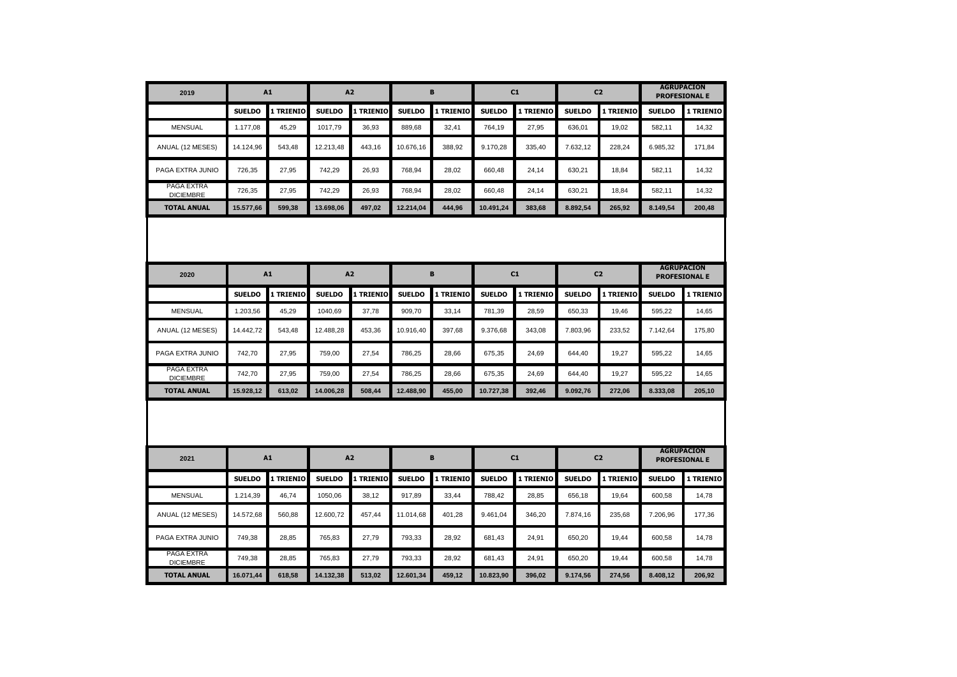| 2019                           | A1            |           | A2            |           | B             |           | C1            |           | C <sub>2</sub> |           | <b>AGRUPACION</b><br><b>PROFESIONAL E</b> |           |
|--------------------------------|---------------|-----------|---------------|-----------|---------------|-----------|---------------|-----------|----------------|-----------|-------------------------------------------|-----------|
|                                | <b>SUELDO</b> | 1 TRIENIO | <b>SUELDO</b> | 1 TRIENIO | <b>SUELDO</b> | 1 TRIENIO | <b>SUELDO</b> | 1 TRIENIO | <b>SUELDO</b>  | 1 TRIENIO | <b>SUELDO</b>                             | 1 TRIENIO |
| <b>MENSUAL</b>                 | 1.177,08      | 45,29     | 1017,79       | 36,93     | 889,68        | 32,41     | 764,19        | 27,95     | 636,01         | 19,02     | 582,11                                    | 14,32     |
| ANUAL (12 MESES)               | 14.124,96     | 543,48    | 12.213,48     | 443,16    | 10.676,16     | 388,92    | 9.170,28      | 335,40    | 7.632,12       | 228,24    | 6.985,32                                  | 171,84    |
| PAGA EXTRA JUNIO               | 726,35        | 27,95     | 742,29        | 26,93     | 768,94        | 28,02     | 660,48        | 24,14     | 630,21         | 18,84     | 582,11                                    | 14,32     |
| PAGA EXTRA<br><b>DICIEMBRE</b> | 726,35        | 27,95     | 742,29        | 26,93     | 768,94        | 28,02     | 660,48        | 24,14     | 630,21         | 18,84     | 582,11                                    | 14,32     |
| <b>TOTAL ANUAL</b>             | 15.577,66     | 599,38    | 13.698,06     | 497,02    | 12.214,04     | 444.96    | 10.491,24     | 383,68    | 8.892.54       | 265,92    | 8.149.54                                  | 200.48    |
| <b>AGRUPACION</b>              |               |           |               |           |               |           |               |           |                |           |                                           |           |
| 2020                           | A1            |           | A2            |           | B             |           | C1            |           | C <sub>2</sub> |           | <b>PROFESIONAL E</b>                      |           |
|                                | <b>SUELDO</b> | 1 TRIENIO | <b>SUELDO</b> | 1 TRIENIO | <b>SUELDO</b> | 1 TRIENIO | <b>SUELDO</b> | 1 TRIENIO | <b>SUELDO</b>  | 1 TRIENIO | <b>SUELDO</b>                             | 1 TRIENIO |
| <b>MENSUAL</b>                 | 1.203,56      | 45,29     | 1040.69       | 37,78     | 909.70        | 33,14     | 781,39        | 28,59     | 650,33         | 19,46     | 595,22                                    | 14,65     |
| ANUAL (12 MESES)               | 14.442,72     | 543,48    | 12.488,28     | 453,36    | 10.916,40     | 397,68    | 9.376,68      | 343,08    | 7.803,96       | 233,52    | 7.142,64                                  | 175,80    |
| PAGA EXTRA JUNIO               | 742,70        | 27,95     | 759,00        | 27,54     | 786,25        | 28,66     | 675,35        | 24,69     | 644,40         | 19,27     | 595,22                                    | 14,65     |
| PAGA EXTRA<br><b>DICIEMBRE</b> | 742,70        | 27,95     | 759,00        | 27,54     | 786,25        | 28,66     | 675,35        | 24,69     | 644,40         | 19,27     | 595,22                                    | 14,65     |
| <b>TOTAL ANUAL</b>             | 15.928,12     | 613,02    | 14.006,28     | 508,44    | 12.488,90     | 455,00    | 10.727,38     | 392,46    | 9.092,76       | 272,06    | 8.333,08                                  | 205,10    |
|                                |               |           |               |           |               |           |               |           |                |           |                                           |           |
| 2021                           | A1            |           | A2            |           | B             |           | C1            |           | C <sub>2</sub> |           | <b>AGRUPACION</b><br><b>PROFESIONAL E</b> |           |
|                                | <b>SUELDO</b> | 1 TRIENIO | <b>SUELDO</b> | 1 TRIENIO | <b>SUELDO</b> | 1 TRIENIO | <b>SUELDO</b> | 1 TRIENIO | <b>SUELDO</b>  | 1 TRIENIO | <b>SUELDO</b>                             | 1 TRIENIO |
| <b>MENSUAL</b>                 | 1.214,39      | 46,74     | 1050,06       | 38,12     | 917,89        | 33,44     | 788,42        | 28,85     | 656,18         | 19,64     | 600,58                                    | 14,78     |
| ANUAL (12 MESES)               | 14.572,68     | 560,88    | 12.600,72     | 457,44    | 11.014,68     | 401,28    | 9.461,04      | 346,20    | 7.874,16       | 235,68    | 7.206,96                                  | 177,36    |
| PAGA EXTRA JUNIO               | 749,38        | 28,85     | 765,83        | 27,79     | 793,33        | 28,92     | 681,43        | 24,91     | 650,20         | 19,44     | 600,58                                    | 14,78     |
| PAGA EXTRA<br><b>DICIEMBRE</b> | 749,38        | 28,85     | 765,83        | 27,79     | 793,33        | 28,92     | 681,43        | 24,91     | 650,20         | 19,44     | 600,58                                    | 14,78     |
| <b>TOTAL ANUAL</b>             | 16.071,44     | 618,58    | 14.132,38     | 513,02    | 12.601,34     | 459,12    | 10.823,90     | 396,02    | 9.174,56       | 274,56    | 8.408,12                                  | 206,92    |